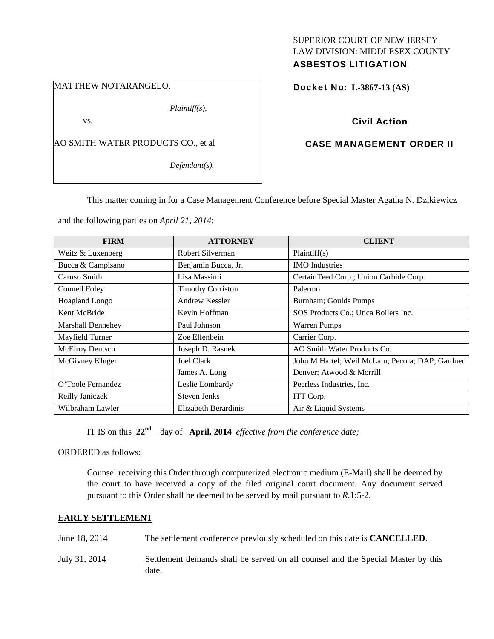# SUPERIOR COURT OF NEW JERSEY LAW DIVISION: MIDDLESEX COUNTY ASBESTOS LITIGATION

MATTHEW NOTARANGELO,

*Plaintiff(s),* 

vs.

AO SMITH WATER PRODUCTS CO., et al

*Defendant(s).* 

Docket No: **L-3867-13 (AS)** 

# Civil Action

# CASE MANAGEMENT ORDER II

This matter coming in for a Case Management Conference before Special Master Agatha N. Dzikiewicz

and the following parties on *April 21, 2014*:

| <b>FIRM</b>       | <b>ATTORNEY</b>          | <b>CLIENT</b>                                    |
|-------------------|--------------------------|--------------------------------------------------|
| Weitz & Luxenberg | Robert Silverman         | Plaintiff(s)                                     |
| Bucca & Campisano | Benjamin Bucca, Jr.      | <b>IMO</b> Industries                            |
| Caruso Smith      | Lisa Massimi             | CertainTeed Corp.; Union Carbide Corp.           |
| Connell Foley     | <b>Timothy Corriston</b> | Palermo                                          |
| Hoagland Longo    | Andrew Kessler           | Burnham; Goulds Pumps                            |
| Kent McBride      | Kevin Hoffman            | SOS Products Co.; Utica Boilers Inc.             |
| Marshall Dennehey | Paul Johnson             | <b>Warren Pumps</b>                              |
| Mayfield Turner   | Zoe Elfenbein            | Carrier Corp.                                    |
| McElroy Deutsch   | Joseph D. Rasnek         | AO Smith Water Products Co.                      |
| McGivney Kluger   | Joel Clark               | John M Hartel; Weil McLain; Pecora; DAP; Gardner |
|                   | James A. Long            | Denver; Atwood & Morrill                         |
| O'Toole Fernandez | Leslie Lombardy          | Peerless Industries, Inc.                        |
| Reilly Janiczek   | <b>Steven Jenks</b>      | ITT Corp.                                        |
| Wilbraham Lawler  | Elizabeth Berardinis     | Air & Liquid Systems                             |

IT IS on this **22nd** day of **April, 2014** *effective from the conference date;*

ORDERED as follows:

Counsel receiving this Order through computerized electronic medium (E-Mail) shall be deemed by the court to have received a copy of the filed original court document. Any document served pursuant to this Order shall be deemed to be served by mail pursuant to *R*.1:5-2.

## **EARLY SETTLEMENT**

| June 18, 2014 | The settlement conference previously scheduled on this date is <b>CANCELLED</b> .         |
|---------------|-------------------------------------------------------------------------------------------|
| July 31, 2014 | Settlement demands shall be served on all counsel and the Special Master by this<br>date. |